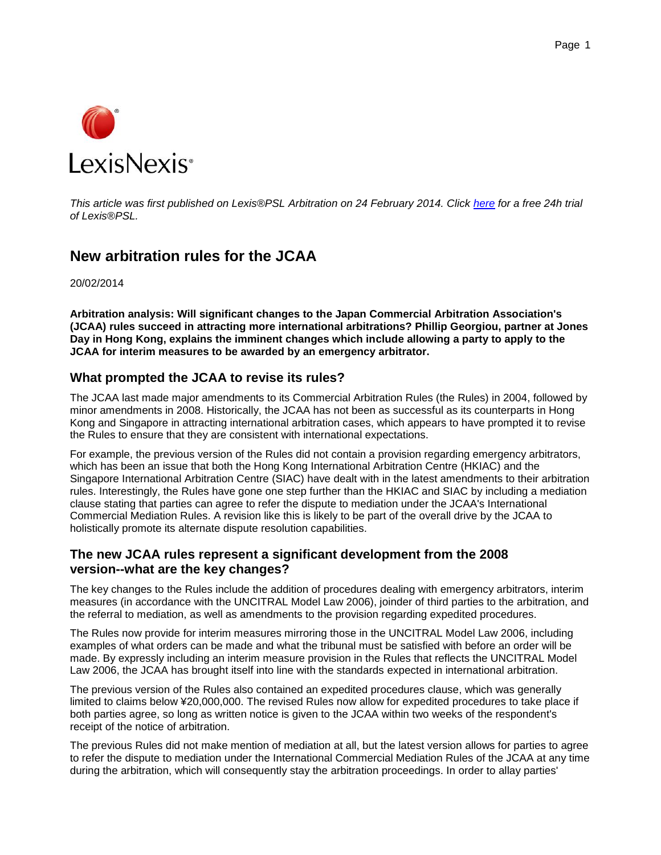

*This article was first published on Lexis®PSL Arbitration on 24 February 2014. Click [here](http://www.lexislegalintelligence.co.uk/intelligence/24-hour-lexis-psl-free-trial) for a free 24h trial of Lexis®PSL.*

# **New arbitration rules for the JCAA**

20/02/2014

**Arbitration analysis: Will significant changes to the Japan Commercial Arbitration Association's (JCAA) rules succeed in attracting more international arbitrations? Phillip Georgiou, partner at Jones Day in Hong Kong, explains the imminent changes which include allowing a party to apply to the JCAA for interim measures to be awarded by an emergency arbitrator.**

#### **What prompted the JCAA to revise its rules?**

The JCAA last made major amendments to its Commercial Arbitration Rules (the Rules) in 2004, followed by minor amendments in 2008. Historically, the JCAA has not been as successful as its counterparts in Hong Kong and Singapore in attracting international arbitration cases, which appears to have prompted it to revise the Rules to ensure that they are consistent with international expectations.

For example, the previous version of the Rules did not contain a provision regarding emergency arbitrators, which has been an issue that both the Hong Kong International Arbitration Centre (HKIAC) and the Singapore International Arbitration Centre (SIAC) have dealt with in the latest amendments to their arbitration rules. Interestingly, the Rules have gone one step further than the HKIAC and SIAC by including a mediation clause stating that parties can agree to refer the dispute to mediation under the JCAA's International Commercial Mediation Rules. A revision like this is likely to be part of the overall drive by the JCAA to holistically promote its alternate dispute resolution capabilities.

## **The new JCAA rules represent a significant development from the 2008 version--what are the key changes?**

The key changes to the Rules include the addition of procedures dealing with emergency arbitrators, interim measures (in accordance with the UNCITRAL Model Law 2006), joinder of third parties to the arbitration, and the referral to mediation, as well as amendments to the provision regarding expedited procedures.

The Rules now provide for interim measures mirroring those in the UNCITRAL Model Law 2006, including examples of what orders can be made and what the tribunal must be satisfied with before an order will be made. By expressly including an interim measure provision in the Rules that reflects the UNCITRAL Model Law 2006, the JCAA has brought itself into line with the standards expected in international arbitration.

The previous version of the Rules also contained an expedited procedures clause, which was generally limited to claims below ¥20,000,000. The revised Rules now allow for expedited procedures to take place if both parties agree, so long as written notice is given to the JCAA within two weeks of the respondent's receipt of the notice of arbitration.

The previous Rules did not make mention of mediation at all, but the latest version allows for parties to agree to refer the dispute to mediation under the International Commercial Mediation Rules of the JCAA at any time during the arbitration, which will consequently stay the arbitration proceedings. In order to allay parties'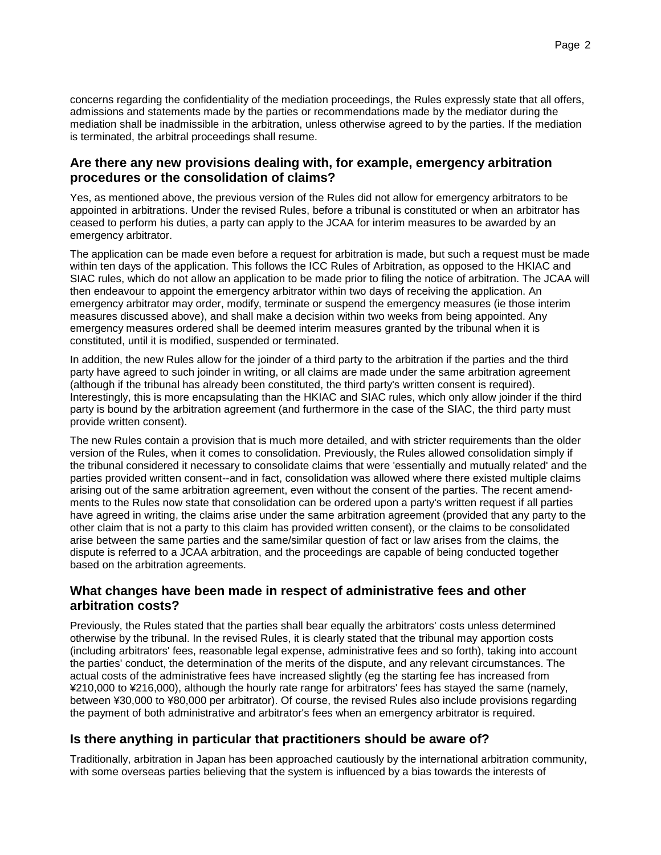concerns regarding the confidentiality of the mediation proceedings, the Rules expressly state that all offers, admissions and statements made by the parties or recommendations made by the mediator during the mediation shall be inadmissible in the arbitration, unless otherwise agreed to by the parties. If the mediation is terminated, the arbitral proceedings shall resume.

### **Are there any new provisions dealing with, for example, emergency arbitration procedures or the consolidation of claims?**

Yes, as mentioned above, the previous version of the Rules did not allow for emergency arbitrators to be appointed in arbitrations. Under the revised Rules, before a tribunal is constituted or when an arbitrator has ceased to perform his duties, a party can apply to the JCAA for interim measures to be awarded by an emergency arbitrator.

The application can be made even before a request for arbitration is made, but such a request must be made within ten days of the application. This follows the ICC Rules of Arbitration, as opposed to the HKIAC and SIAC rules, which do not allow an application to be made prior to filing the notice of arbitration. The JCAA will then endeavour to appoint the emergency arbitrator within two days of receiving the application. An emergency arbitrator may order, modify, terminate or suspend the emergency measures (ie those interim measures discussed above), and shall make a decision within two weeks from being appointed. Any emergency measures ordered shall be deemed interim measures granted by the tribunal when it is constituted, until it is modified, suspended or terminated.

In addition, the new Rules allow for the joinder of a third party to the arbitration if the parties and the third party have agreed to such joinder in writing, or all claims are made under the same arbitration agreement (although if the tribunal has already been constituted, the third party's written consent is required). Interestingly, this is more encapsulating than the HKIAC and SIAC rules, which only allow joinder if the third party is bound by the arbitration agreement (and furthermore in the case of the SIAC, the third party must provide written consent).

The new Rules contain a provision that is much more detailed, and with stricter requirements than the older version of the Rules, when it comes to consolidation. Previously, the Rules allowed consolidation simply if the tribunal considered it necessary to consolidate claims that were 'essentially and mutually related' and the parties provided written consent--and in fact, consolidation was allowed where there existed multiple claims arising out of the same arbitration agreement, even without the consent of the parties. The recent amendments to the Rules now state that consolidation can be ordered upon a party's written request if all parties have agreed in writing, the claims arise under the same arbitration agreement (provided that any party to the other claim that is not a party to this claim has provided written consent), or the claims to be consolidated arise between the same parties and the same/similar question of fact or law arises from the claims, the dispute is referred to a JCAA arbitration, and the proceedings are capable of being conducted together based on the arbitration agreements.

## **What changes have been made in respect of administrative fees and other arbitration costs?**

Previously, the Rules stated that the parties shall bear equally the arbitrators' costs unless determined otherwise by the tribunal. In the revised Rules, it is clearly stated that the tribunal may apportion costs (including arbitrators' fees, reasonable legal expense, administrative fees and so forth), taking into account the parties' conduct, the determination of the merits of the dispute, and any relevant circumstances. The actual costs of the administrative fees have increased slightly (eg the starting fee has increased from ¥210,000 to ¥216,000), although the hourly rate range for arbitrators' fees has stayed the same (namely, between ¥30,000 to ¥80,000 per arbitrator). Of course, the revised Rules also include provisions regarding the payment of both administrative and arbitrator's fees when an emergency arbitrator is required.

# **Is there anything in particular that practitioners should be aware of?**

Traditionally, arbitration in Japan has been approached cautiously by the international arbitration community, with some overseas parties believing that the system is influenced by a bias towards the interests of